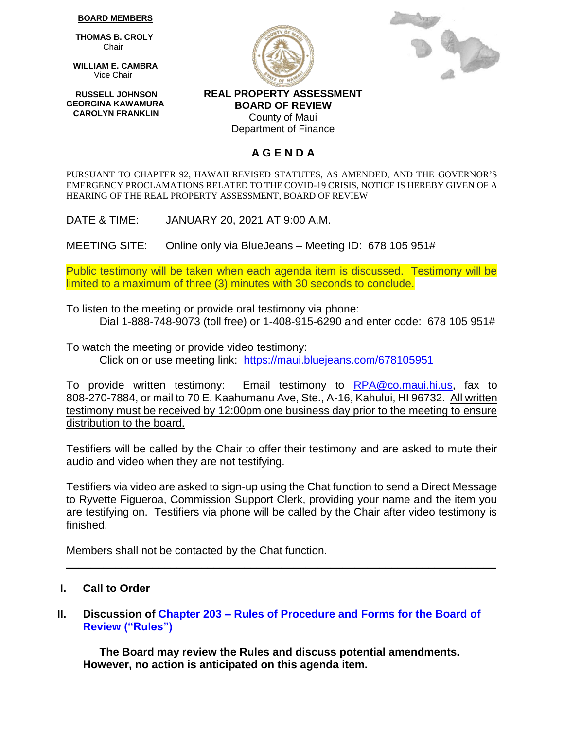#### **BOARD MEMBERS**

 **THOMAS B. CROLY** Chair

 **WILLIAM E. CAMBRA** Vice Chair

 **RUSSELL JOHNSON GEORGINA KAWAMURA CAROLYN FRANKLIN**





**REAL PROPERTY ASSESSMENT BOARD OF REVIEW** County of Maui Department of Finance

# **A G E N D A**

PURSUANT TO CHAPTER 92, HAWAII REVISED STATUTES, AS AMENDED, AND THE GOVERNOR'S EMERGENCY PROCLAMATIONS RELATED TO THE COVID-19 CRISIS, NOTICE IS HEREBY GIVEN OF A HEARING OF THE REAL PROPERTY ASSESSMENT, BOARD OF REVIEW

DATE & TIME: JANUARY 20, 2021 AT 9:00 A.M.

MEETING SITE: Online only via BlueJeans – Meeting ID: 678 105 951#

Public testimony will be taken when each agenda item is discussed. Testimony will be limited to a maximum of three (3) minutes with 30 seconds to conclude.

To listen to the meeting or provide oral testimony via phone: Dial 1-888-748-9073 (toll free) or 1-408-915-6290 and enter code: 678 105 951#

To watch the meeting or provide video testimony: Click on or use meeting link: <https://maui.bluejeans.com/678105951>

To provide written testimony: Email testimony to [RPA@co.maui.hi.us,](mailto:RPA@co.maui.hi.us) fax to 808-270-7884, or mail to 70 E. Kaahumanu Ave, Ste., A-16, Kahului, HI 96732. All written testimony must be received by 12:00pm one business day prior to the meeting to ensure distribution to the board.

Testifiers will be called by the Chair to offer their testimony and are asked to mute their audio and video when they are not testifying.

Testifiers via video are asked to sign-up using the Chat function to send a Direct Message to Ryvette Figueroa, Commission Support Clerk, providing your name and the item you are testifying on. Testifiers via phone will be called by the Chair after video testimony is finished.

**\_\_\_\_\_\_\_\_\_\_\_\_\_\_\_\_\_\_\_\_\_\_\_\_\_\_\_\_\_\_\_\_\_\_\_\_\_\_\_\_\_\_\_\_\_\_\_\_\_\_\_\_\_\_\_\_\_\_\_\_\_\_\_\_\_\_\_\_\_\_**

Members shall not be contacted by the Chat function.

# **I. Call to Order**

### **II. Discussion of Chapter 203 – [Rules of Procedure and Forms for the Board of](https://www.mauicounty.gov/DocumentCenter/View/125306/19-chapter203)  Review ("Rules")**

**The Board may review the Rules and discuss potential amendments. However, no action is anticipated on this agenda item.**